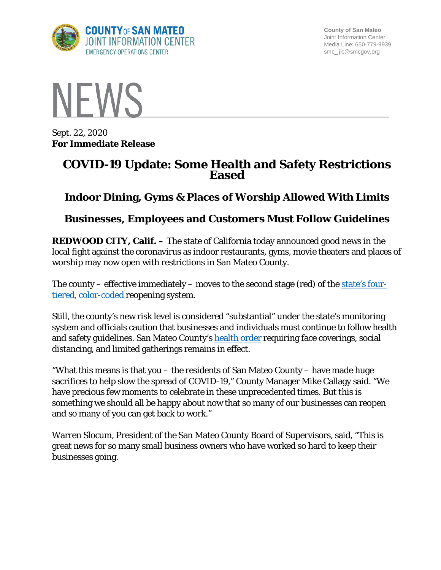

**County of San Mateo** Joint Information Center Media Line: 650-779-9939 smc\_ jic@smcgov.org



Sept. 22, 2020 **For Immediate Release**

# **COVID-19 Update: Some Health and Safety Restrictions Eased**

# **Indoor Dining, Gyms & Places of Worship Allowed With Limits**

# **Businesses, Employees and Customers Must Follow Guidelines**

**REDWOOD CITY, Calif. –** The state of California today announced good news in the local fight against the coronavirus as indoor restaurants, gyms, movie theaters and places of worship may now open with restrictions in San Mateo County.

The county – effective immediately – moves to the second stage (red) of the [state's four](https://covid19.ca.gov/safer-economy/)[tiered, color-coded](https://covid19.ca.gov/safer-economy/) reopening system.

Still, the county's new risk level is considered "substantial" under the state's monitoring system and officials caution that businesses and individuals must continue to follow health and safety guidelines. San Mateo County's [health order](https://www.smchealth.org/health-officer-updates/order-no-c19-11-health-officer-county-san-mateo-social-distancing-guidelines) requiring face coverings, social distancing, and limited gatherings remains in effect.

"What this means is that you – the residents of San Mateo County – have made huge sacrifices to help slow the spread of COVID-19," County Manager Mike Callagy said. "We have precious few moments to celebrate in these unprecedented times. But this is something we should all be happy about now that so many of our businesses can reopen and so many of you can get back to work."

Warren Slocum, President of the San Mateo County Board of Supervisors, said, "This is great news for so many small business owners who have worked so hard to keep their businesses going.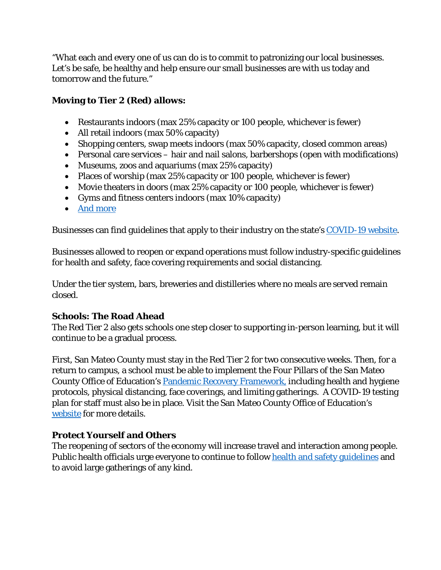"What each and every one of us can do is to commit to patronizing our local businesses. Let's be safe, be healthy and help ensure our small businesses are with us today and tomorrow and the future."

# **Moving to Tier 2 (Red) allows:**

- Restaurants indoors (max 25% capacity or 100 people, whichever is fewer)
- All retail indoors (max 50% capacity)
- Shopping centers, swap meets indoors (max 50% capacity, closed common areas)
- Personal care services hair and nail salons, barbershops (open with modifications)
- Museums, zoos and aquariums (max 25% capacity)
- Places of worship (max 25% capacity or 100 people, whichever is fewer)
- Movie theaters in doors (max 25% capacity or 100 people, whichever is fewer)
- Gyms and fitness centers indoors (max 10% capacity)
- [And more](https://www.cdph.ca.gov/Programs/CID/DCDC/CDPH%20Document%20Library/COVID-19/Dimmer-Framework-August_2020.pdf)

Businesses can find guidelines that apply to their industry on the state's [COVID-19 website.](https://covid19.ca.gov/safer-economy/)

Businesses allowed to reopen or expand operations must follow industry-specific guidelines for health and safety, face covering requirements and social distancing.

Under the tier system, bars, breweries and distilleries where no meals are served remain closed.

#### **Schools: The Road Ahead**

The Red Tier 2 also gets schools one step closer to supporting in-person learning, but it will continue to be a gradual process.

First, San Mateo County must stay in the Red Tier 2 for two consecutive weeks. Then, for a return to campus, a school must be able to implement the Four Pillars of the San Mateo County Office of Education's [Pandemic Recovery Framework,](https://www.smcoe.org/other/for-administrators/school-recovery-planning.html) including health and hygiene protocols, physical distancing, face coverings, and limiting gatherings. A COVID-19 testing plan for staff must also be in place. Visit the San Mateo County Office of Education's [website](https://www.smcoe.org/) for more details.

# **Protect Yourself and Others**

The reopening of sectors of the economy will increase travel and interaction among people. Public health officials urge everyone to continue to follow [health and safety guidelines](https://www.cdc.gov/coronavirus/2019-ncov/prevent-getting-sick/prevention.html) and to avoid large gatherings of any kind.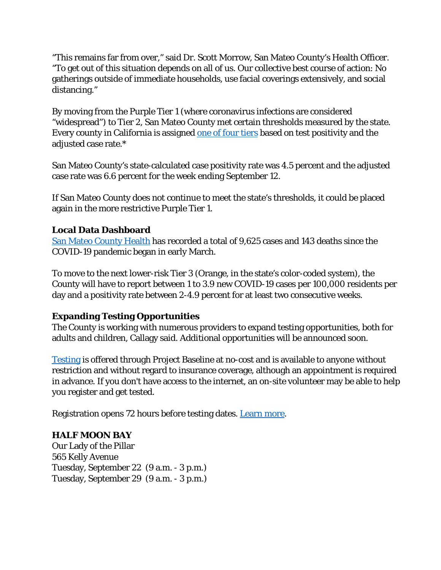"This remains far from over," said Dr. Scott Morrow, San Mateo County's Health Officer. "To get out of this situation depends on all of us. Our collective best course of action: No gatherings outside of immediate households, use facial coverings extensively, and social distancing."

By moving from the Purple Tier 1 (where coronavirus infections are considered "widespread") to Tier 2, San Mateo County met certain thresholds measured by the state. Every county in California is assigned [one of four tiers](https://www.cdph.ca.gov/Programs/CID/DCDC/Pages/COVID-19/COVID19CountyMonitoringOverview.aspx) based on test positivity and the adjusted case rate.\*

San Mateo County's state-calculated case positivity rate was 4.5 percent and the adjusted case rate was 6.6 percent for the week ending September 12.

If San Mateo County does not continue to meet the state's thresholds, it could be placed again in the more restrictive Purple Tier 1.

#### **Local Data Dashboard**

San Mateo County Health has recorded a total of 9,625 cases and 143 deaths since the COVID-19 pandemic began in early March.

To move to the next lower-risk Tier 3 (Orange, in the state's color-coded system), the County will have to report between 1 to 3.9 new COVID-19 cases per 100,000 residents per day and a positivity rate between 2-4.9 percent for at least two consecutive weeks.

# **Expanding Testing Opportunities**

The County is working with numerous providers to expand testing opportunities, both for adults and children, Callagy said. Additional opportunities will be announced soon.

[Testing](https://www.smcgov.org/testing) is offered through Project Baseline at no-cost and is available to anyone without restriction and without regard to insurance coverage, although an appointment is required in advance. If you don't have access to the internet, an on-site volunteer may be able to help you register and get tested.

Registration opens 72 hours before testing dates. [Learn more.](https://www.smcgov.org/testing)

# **HALF MOON BAY**

Our Lady of the Pillar 565 Kelly Avenue Tuesday, September 22 (9 a.m. - 3 p.m.) Tuesday, September 29 (9 a.m. - 3 p.m.)